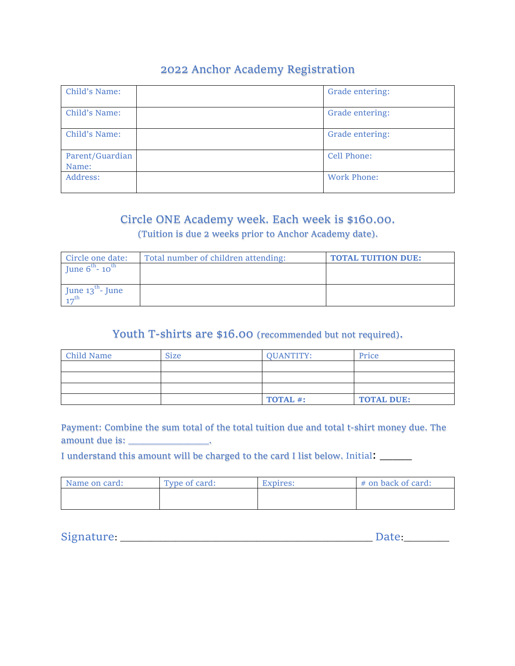# 2022 Anchor Academy Registration

| Child's Name:            | Grade entering: |
|--------------------------|-----------------|
| Child's Name:            | Grade entering: |
| Child's Name:            | Grade entering: |
| Parent/Guardian<br>Name: | Cell Phone:     |
| Address:                 | Work Phone:     |

## Circle ONE Academy week. Each week is \$160.00. (Tuition is due 2 weeks prior to Anchor Academy date).

| Circle one date:                 | Total number of children attending: | <b>TOTAL TUITION DUE:</b> |
|----------------------------------|-------------------------------------|---------------------------|
| June $6^{th}$ - 10 <sup>th</sup> |                                     |                           |
|                                  |                                     |                           |
| June $13^{\text{m}}$ - June      |                                     |                           |
|                                  |                                     |                           |

## Youth T-shirts are \$16.00 (recommended but not required).

| Child Name | <b>Size</b> | <b>QUANTITY:</b> | Price             |
|------------|-------------|------------------|-------------------|
|            |             |                  |                   |
|            |             |                  |                   |
|            |             |                  |                   |
|            |             | TOTAL #:         | <b>TOTAL DUE:</b> |

Payment: Combine the sum total of the total tuition due and total t-shirt money due. The amount due is: \_\_\_\_\_\_\_\_\_\_\_\_\_\_\_\_\_.

I understand this amount will be charged to the card I list below. Initial: \_\_\_\_\_

| Name on card: | Type of card: | Expires: | # on back of card: |
|---------------|---------------|----------|--------------------|
|               |               |          |                    |
|               |               |          |                    |

Signature: \_\_\_\_\_\_\_\_\_\_\_\_\_\_\_\_\_\_\_\_\_\_\_\_\_\_\_\_\_\_\_\_\_\_\_\_\_\_\_\_\_\_\_\_\_\_\_\_\_\_ Date:\_\_\_\_\_\_\_\_\_